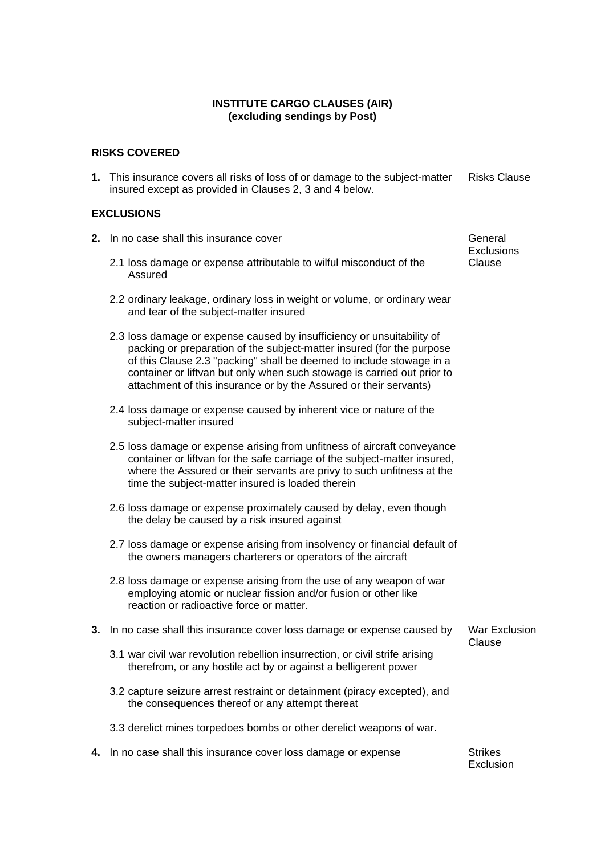# **INSTITUTE CARGO CLAUSES (AIR) (excluding sendings by Post)**

### **RISKS COVERED**

**1.** This insurance covers all risks of loss of or damage to the subject-matter insured except as provided in Clauses 2, 3 and 4 below. Risks Clause

### **EXCLUSIONS**

- **2.** In no case shall this insurance cover General Community Ceneral
	- 2.1 loss damage or expense attributable to wilful misconduct of the Assured
	- 2.2 ordinary leakage, ordinary loss in weight or volume, or ordinary wear and tear of the subject-matter insured
	- 2.3 loss damage or expense caused by insufficiency or unsuitability of packing or preparation of the subject-matter insured (for the purpose of this Clause 2.3 "packing" shall be deemed to include stowage in a container or liftvan but only when such stowage is carried out prior to attachment of this insurance or by the Assured or their servants)
	- 2.4 loss damage or expense caused by inherent vice or nature of the subject-matter insured
	- 2.5 loss damage or expense arising from unfitness of aircraft conveyance container or liftvan for the safe carriage of the subject-matter insured, where the Assured or their servants are privy to such unfitness at the time the subject-matter insured is loaded therein
	- 2.6 loss damage or expense proximately caused by delay, even though the delay be caused by a risk insured against
	- 2.7 loss damage or expense arising from insolvency or financial default of the owners managers charterers or operators of the aircraft
	- 2.8 loss damage or expense arising from the use of any weapon of war employing atomic or nuclear fission and/or fusion or other like reaction or radioactive force or matter.

#### **3.** In no case shall this insurance cover loss damage or expense caused by War Exclusion

- 3.1 war civil war revolution rebellion insurrection, or civil strife arising therefrom, or any hostile act by or against a belligerent power
- 3.2 capture seizure arrest restraint or detainment (piracy excepted), and the consequences thereof or any attempt thereat
- 3.3 derelict mines torpedoes bombs or other derelict weapons of war.
- **4.** In no case shall this insurance cover loss damage or expense Strikes

Exclusion

Clause

**Exclusions** Clause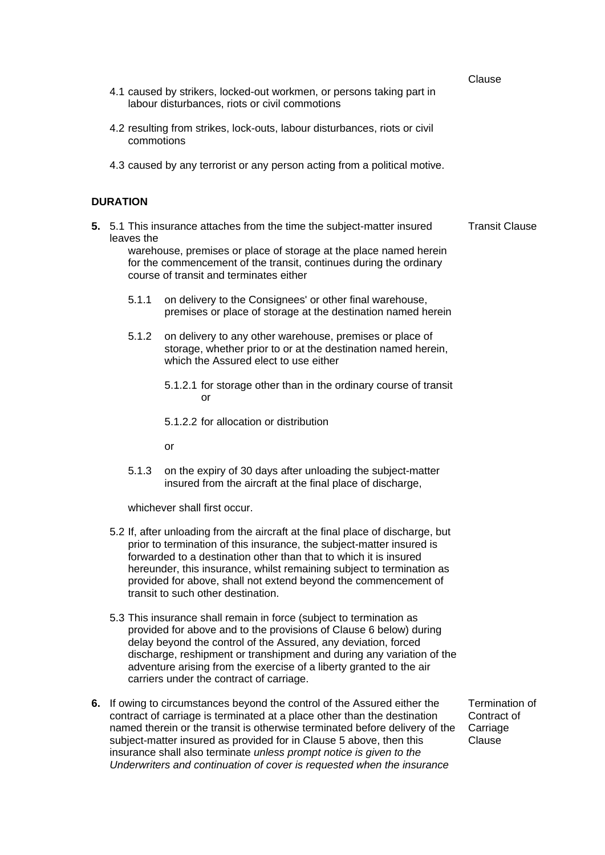Clause

- 4.1 caused by strikers, locked-out workmen, or persons taking part in labour disturbances, riots or civil commotions
- 4.2 resulting from strikes, lock-outs, labour disturbances, riots or civil commotions
- 4.3 caused by any terrorist or any person acting from a political motive.

# **DURATION**

- **5.** 5.1 This insurance attaches from the time the subject-matter insured leaves the warehouse, premises or place of storage at the place named herein for the commencement of the transit, continues during the ordinary Transit Clause
	- course of transit and terminates either 5.1.1 on delivery to the Consignees' or other final warehouse,
		- premises or place of storage at the destination named herein
	- 5.1.2 on delivery to any other warehouse, premises or place of storage, whether prior to or at the destination named herein, which the Assured elect to use either
		- 5.1.2.1 for storage other than in the ordinary course of transit or
		- 5.1.2.2 for allocation or distribution

or

5.1.3 on the expiry of 30 days after unloading the subject-matter insured from the aircraft at the final place of discharge,

whichever shall first occur.

- 5.2 If, after unloading from the aircraft at the final place of discharge, but prior to termination of this insurance, the subject-matter insured is forwarded to a destination other than that to which it is insured hereunder, this insurance, whilst remaining subject to termination as provided for above, shall not extend beyond the commencement of transit to such other destination.
- 5.3 This insurance shall remain in force (subject to termination as provided for above and to the provisions of Clause 6 below) during delay beyond the control of the Assured, any deviation, forced discharge, reshipment or transhipment and during any variation of the adventure arising from the exercise of a liberty granted to the air carriers under the contract of carriage.
- **6.** If owing to circumstances beyond the control of the Assured either the contract of carriage is terminated at a place other than the destination named therein or the transit is otherwise terminated before delivery of the subject-matter insured as provided for in Clause 5 above, then this insurance shall also terminate *unless prompt notice is given to the Underwriters and continuation of cover is requested when the insurance*

Termination of Contract of **Carriage** Clause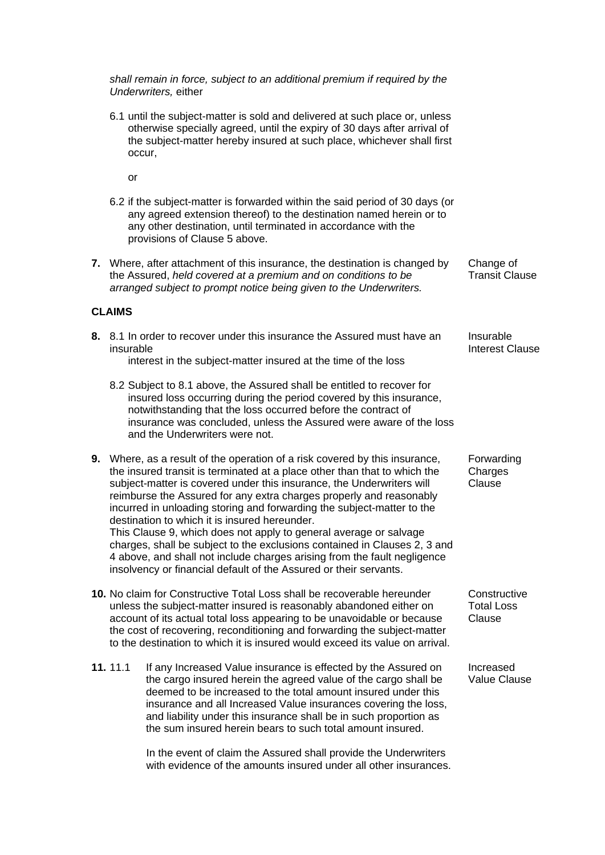*shall remain in force, subject to an additional premium if required by the Underwriters,* either 6.1 until the subject-matter is sold and delivered at such place or, unless otherwise specially agreed, until the expiry of 30 days after arrival of the subject-matter hereby insured at such place, whichever shall first occur, or 6.2 if the subject-matter is forwarded within the said period of 30 days (or any agreed extension thereof) to the destination named herein or to any other destination, until terminated in accordance with the provisions of Clause 5 above. **7.** Where, after attachment of this insurance, the destination is changed by the Assured, *held covered at a premium and on conditions to be arranged subject to prompt notice being given to the Underwriters.* Change of Transit Clause **CLAIMS 8.** 8.1 In order to recover under this insurance the Assured must have an insurable interest in the subject-matter insured at the time of the loss Insurable Interest Clause 8.2 Subject to 8.1 above, the Assured shall be entitled to recover for insured loss occurring during the period covered by this insurance, notwithstanding that the loss occurred before the contract of insurance was concluded, unless the Assured were aware of the loss and the Underwriters were not. **9.** Where, as a result of the operation of a risk covered by this insurance, the insured transit is terminated at a place other than that to which the subject-matter is covered under this insurance, the Underwriters will reimburse the Assured for any extra charges properly and reasonably incurred in unloading storing and forwarding the subject-matter to the destination to which it is insured hereunder. Forwarding **Charges** Clause This Clause 9, which does not apply to general average or salvage charges, shall be subject to the exclusions contained in Clauses 2, 3 and 4 above, and shall not include charges arising from the fault negligence insolvency or financial default of the Assured or their servants. **10.** No claim for Constructive Total Loss shall be recoverable hereunder unless the subject-matter insured is reasonably abandoned either on account of its actual total loss appearing to be unavoidable or because the cost of recovering, reconditioning and forwarding the subject-matter to the destination to which it is insured would exceed its value on arrival. **Constructive** Total Loss Clause **11.** 11.1 If any Increased Value insurance is effected by the Assured on the cargo insured herein the agreed value of the cargo shall be deemed to be increased to the total amount insured under this insurance and all Increased Value insurances covering the loss, and liability under this insurance shall be in such proportion as the sum insured herein bears to such total amount insured. Increased Value Clause

> In the event of claim the Assured shall provide the Underwriters with evidence of the amounts insured under all other insurances.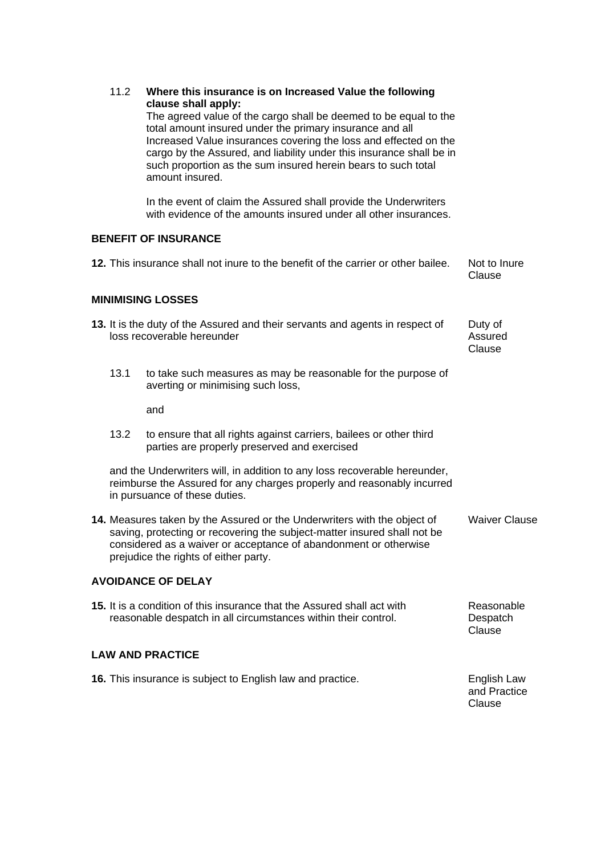|                                                                                                                                                                                                                                                                   | 11.2 | Where this insurance is on Increased Value the following<br>clause shall apply:<br>The agreed value of the cargo shall be deemed to be equal to the<br>total amount insured under the primary insurance and all<br>Increased Value insurances covering the loss and effected on the<br>cargo by the Assured, and liability under this insurance shall be in<br>such proportion as the sum insured herein bears to such total<br>amount insured.<br>In the event of claim the Assured shall provide the Underwriters |                                       |
|-------------------------------------------------------------------------------------------------------------------------------------------------------------------------------------------------------------------------------------------------------------------|------|---------------------------------------------------------------------------------------------------------------------------------------------------------------------------------------------------------------------------------------------------------------------------------------------------------------------------------------------------------------------------------------------------------------------------------------------------------------------------------------------------------------------|---------------------------------------|
|                                                                                                                                                                                                                                                                   |      | with evidence of the amounts insured under all other insurances.                                                                                                                                                                                                                                                                                                                                                                                                                                                    |                                       |
| <b>BENEFIT OF INSURANCE</b>                                                                                                                                                                                                                                       |      |                                                                                                                                                                                                                                                                                                                                                                                                                                                                                                                     |                                       |
|                                                                                                                                                                                                                                                                   |      | 12. This insurance shall not inure to the benefit of the carrier or other bailee.                                                                                                                                                                                                                                                                                                                                                                                                                                   | Not to Inure<br>Clause                |
| <b>MINIMISING LOSSES</b>                                                                                                                                                                                                                                          |      |                                                                                                                                                                                                                                                                                                                                                                                                                                                                                                                     |                                       |
|                                                                                                                                                                                                                                                                   |      | 13. It is the duty of the Assured and their servants and agents in respect of<br>loss recoverable hereunder                                                                                                                                                                                                                                                                                                                                                                                                         | Duty of<br>Assured<br>Clause          |
|                                                                                                                                                                                                                                                                   | 13.1 | to take such measures as may be reasonable for the purpose of<br>averting or minimising such loss,                                                                                                                                                                                                                                                                                                                                                                                                                  |                                       |
|                                                                                                                                                                                                                                                                   |      | and                                                                                                                                                                                                                                                                                                                                                                                                                                                                                                                 |                                       |
|                                                                                                                                                                                                                                                                   | 13.2 | to ensure that all rights against carriers, bailees or other third<br>parties are properly preserved and exercised                                                                                                                                                                                                                                                                                                                                                                                                  |                                       |
|                                                                                                                                                                                                                                                                   |      | and the Underwriters will, in addition to any loss recoverable hereunder,<br>reimburse the Assured for any charges properly and reasonably incurred<br>in pursuance of these duties.                                                                                                                                                                                                                                                                                                                                |                                       |
| 14. Measures taken by the Assured or the Underwriters with the object of<br>saving, protecting or recovering the subject-matter insured shall not be<br>considered as a waiver or acceptance of abandonment or otherwise<br>prejudice the rights of either party. |      | <b>Waiver Clause</b>                                                                                                                                                                                                                                                                                                                                                                                                                                                                                                |                                       |
| <b>AVOIDANCE OF DELAY</b>                                                                                                                                                                                                                                         |      |                                                                                                                                                                                                                                                                                                                                                                                                                                                                                                                     |                                       |
| 15. It is a condition of this insurance that the Assured shall act with<br>reasonable despatch in all circumstances within their control.                                                                                                                         |      | Reasonable<br>Despatch<br>Clause                                                                                                                                                                                                                                                                                                                                                                                                                                                                                    |                                       |
| <b>LAW AND PRACTICE</b>                                                                                                                                                                                                                                           |      |                                                                                                                                                                                                                                                                                                                                                                                                                                                                                                                     |                                       |
| 16. This insurance is subject to English law and practice.                                                                                                                                                                                                        |      |                                                                                                                                                                                                                                                                                                                                                                                                                                                                                                                     | English Law<br>and Practice<br>Clause |